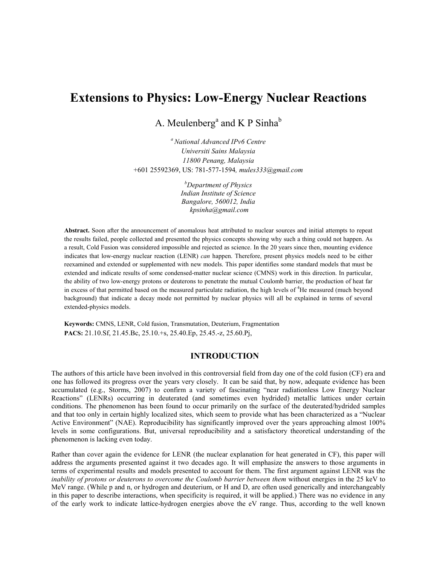# **Extensions to Physics: Low-Energy Nuclear Reactions**

A. Meulenberg<sup>a</sup> and K P Sinha<sup>b</sup>

*<sup>a</sup> National Advanced IPv6 Centre Universiti Sains Malaysia 11800 Penang, Malaysia* +601 25592369, US: 781-577-1594*, mules333@gmail.com* 

> *b Department of Physics Indian Institute of Science Bangalore, 560012, India kpsinha@gmail.com*

**Abstract.** Soon after the announcement of anomalous heat attributed to nuclear sources and initial attempts to repeat the results failed, people collected and presented the physics concepts showing why such a thing could not happen. As a result, Cold Fusion was considered impossible and rejected as science. In the 20 years since then, mounting evidence indicates that low-energy nuclear reaction (LENR) *can* happen. Therefore, present physics models need to be either reexamined and extended or supplemented with new models. This paper identifies some standard models that must be extended and indicate results of some condensed-matter nuclear science (CMNS) work in this direction. In particular, the ability of two low-energy protons or deuterons to penetrate the mutual Coulomb barrier, the production of heat far in excess of that permitted based on the measured particulate radiation, the high levels of <sup>4</sup>He measured (much beyond background) that indicate a decay mode not permitted by nuclear physics will all be explained in terms of several extended-physics models.

**Keywords:** CMNS, LENR, Cold fusion, Transmutation, Deuterium, Fragmentation **PACS:** 21.10.Sf, 21.45.Bc, 25.10.+s, 25.40.Ep, 25.45.-z, 25.60.Pj,

## **INTRODUCTION**

The authors of this article have been involved in this controversial field from day one of the cold fusion (CF) era and one has followed its progress over the years very closely. It can be said that, by now, adequate evidence has been accumulated (e.g., Storms, 2007) to confirm a variety of fascinating "near radiationless Low Energy Nuclear Reactions" (LENRs) occurring in deuterated (and sometimes even hydrided) metallic lattices under certain conditions. The phenomenon has been found to occur primarily on the surface of the deuterated/hydrided samples and that too only in certain highly localized sites, which seem to provide what has been characterized as a "Nuclear Active Environment" (NAE). Reproducibility has significantly improved over the years approaching almost 100% levels in some configurations. But, universal reproducibility and a satisfactory theoretical understanding of the phenomenon is lacking even today.

Rather than cover again the evidence for LENR (the nuclear explanation for heat generated in CF), this paper will address the arguments presented against it two decades ago. It will emphasize the answers to those arguments in terms of experimental results and models presented to account for them. The first argument against LENR was the *inability of protons or deuterons to overcome the Coulomb barrier between them* without energies in the 25 keV to MeV range. (While p and n, or hydrogen and deuterium, or H and D, are often used generically and interchangeably in this paper to describe interactions, when specificity is required, it will be applied.) There was no evidence in any of the early work to indicate lattice-hydrogen energies above the eV range. Thus, according to the well known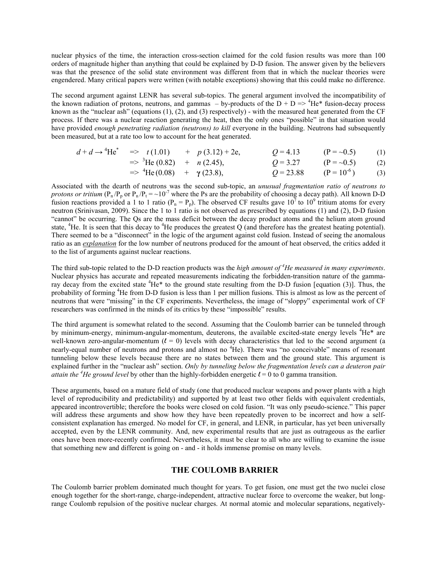nuclear physics of the time, the interaction cross-section claimed for the cold fusion results was more than 100 orders of magnitude higher than anything that could be explained by D-D fusion. The answer given by the believers was that the presence of the solid state environment was different from that in which the nuclear theories were engendered. Many critical papers were written (with notable exceptions) showing that this could make no difference.

The second argument against LENR has several sub-topics. The general argument involved the incompatibility of the known radiation of protons, neutrons, and gammas – by-products of the  $D + D \Rightarrow$  <sup>4</sup>He\* fusion-decay process known as the "nuclear ash" (equations  $(1)$ ,  $(2)$ , and  $(3)$  respectively) - with the measured heat generated from the CF process. If there was a nuclear reaction generating the heat, then the only ones "possible" in that situation would have provided *enough penetrating radiation (neutrons) to kill* everyone in the building. Neutrons had subsequently been measured, but at a rate too low to account for the heat generated.

$$
d + d \rightarrow {}^{4}\text{He}^{*} \Rightarrow t(1.01) + p(3.12) + 2e,
$$
  $Q = 4.13$   $(P = \sim 0.5)$  (1)

$$
= 3 \text{ He } (0.82) + n (2.45), \qquad Q = 3.27 \qquad (P = -0.5) \qquad (2)
$$
  

$$
= 4 \text{ He } (0.08) + \gamma (23.8), \qquad Q = 23.88 \qquad (P = 10^6) \qquad (3)
$$

Associated with the dearth of neutrons was the second sub-topic, an *unusual fragmentation ratio of neutrons to protons or tritium* ( $P_n/P_p$  or  $P_n/P_t = \sim 10^{-7}$  where the Ps are the probability of choosing a decay path). All known D-D fusion reactions provided a 1 to 1 ratio ( $P_n = P_p$ ). The observed CF results gave 10<sup>7</sup> to 10<sup>9</sup> tritium atoms for every neutron (Srinivasan, 2009). Since the 1 to 1 ratio is not observed as prescribed by equations (1) and (2), D-D fusion "cannot" be occurring. The Qs are the mass deficit between the decay product atoms and the helium atom ground state,  ${}^{4}$ He. It is seen that this decay to  ${}^{4}$ He produces the greatest Q (and therefore has the greatest heating potential). There seemed to be a "disconnect" in the logic of the argument against cold fusion. Instead of seeing the anomalous ratio as an *explanation* for the low number of neutrons produced for the amount of heat observed, the critics added it to the list of arguments against nuclear reactions.

The third sub-topic related to the D-D reaction products was the *high amount of <sup>4</sup> He measured in many experiments*. Nuclear physics has accurate and repeated measurements indicating the forbidden-transition nature of the gammaray decay from the excited state  ${}^{4}$ He ${}^{*}$  to the ground state resulting from the D-D fusion [equation (3)]. Thus, the probability of forming <sup>4</sup>He from D-D fusion is less than 1 per million fusions. This is almost as low as the percent of neutrons that were "missing" in the CF experiments. Nevertheless, the image of "sloppy" experimental work of CF researchers was confirmed in the minds of its critics by these "impossible" results.

The third argument is somewhat related to the second. Assuming that the Coulomb barrier can be tunneled through by minimum-energy, minimum-angular-momentum, deuterons, the available excited-state energy levels <sup>4</sup>He\* are well-known zero-angular-momentum  $(l = 0)$  levels with decay characteristics that led to the second argument (a nearly-equal number of neutrons and protons and almost no <sup>4</sup>He). There was "no conceivable" means of resonant tunneling below these levels because there are no states between them and the ground state. This argument is explained further in the "nuclear ash" section. *Only by tunneling below the fragmentation levels can a deuteron pair attain the* <sup>4</sup>*He ground level* by other than the highly-forbidden energetic  $l = 0$  to 0 gamma transition.

These arguments, based on a mature field of study (one that produced nuclear weapons and power plants with a high level of reproducibility and predictability) and supported by at least two other fields with equivalent credentials, appeared incontrovertible; therefore the books were closed on cold fusion. "It was only pseudo-science." This paper will address these arguments and show how they have been repeatedly proven to be incorrect and how a selfconsistent explanation has emerged. No model for CF, in general, and LENR, in particular, has yet been universally accepted, even by the LENR community. And, new experimental results that are just as outrageous as the earlier ones have been more-recently confirmed. Nevertheless, it must be clear to all who are willing to examine the issue that something new and different is going on - and - it holds immense promise on many levels.

# **THE COULOMB BARRIER**

The Coulomb barrier problem dominated much thought for years. To get fusion, one must get the two nuclei close enough together for the short-range, charge-independent, attractive nuclear force to overcome the weaker, but longrange Coulomb repulsion of the positive nuclear charges. At normal atomic and molecular separations, negatively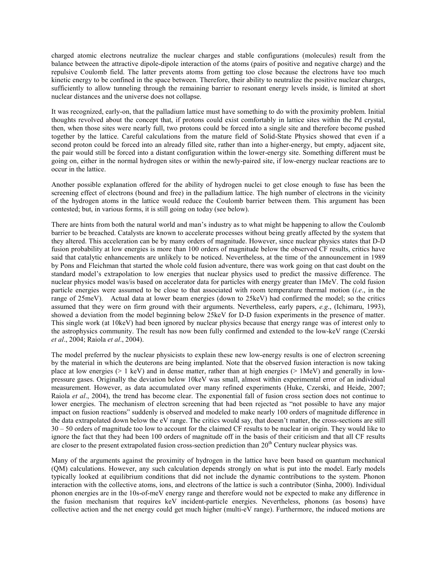charged atomic electrons neutralize the nuclear charges and stable configurations (molecules) result from the balance between the attractive dipole-dipole interaction of the atoms (pairs of positive and negative charge) and the repulsive Coulomb field. The latter prevents atoms from getting too close because the electrons have too much kinetic energy to be confined in the space between. Therefore, their ability to neutralize the positive nuclear charges, sufficiently to allow tunneling through the remaining barrier to resonant energy levels inside, is limited at short nuclear distances and the universe does not collapse.

It was recognized, early-on, that the palladium lattice must have something to do with the proximity problem. Initial thoughts revolved about the concept that, if protons could exist comfortably in lattice sites within the Pd crystal, then, when those sites were nearly full, two protons could be forced into a single site and therefore become pushed together by the lattice. Careful calculations from the mature field of Solid-State Physics showed that even if a second proton could be forced into an already filled site, rather than into a higher-energy, but empty, adjacent site, the pair would still be forced into a distant configuration within the lower-energy site. Something different must be going on, either in the normal hydrogen sites or within the newly-paired site, if low-energy nuclear reactions are to occur in the lattice.

Another possible explanation offered for the ability of hydrogen nuclei to get close enough to fuse has been the screening effect of electrons (bound and free) in the palladium lattice. The high number of electrons in the vicinity of the hydrogen atoms in the lattice would reduce the Coulomb barrier between them. This argument has been contested; but, in various forms, it is still going on today (see below).

There are hints from both the natural world and man's industry as to what might be happening to allow the Coulomb barrier to be breached. Catalysts are known to accelerate processes without being greatly affected by the system that they altered. This acceleration can be by many orders of magnitude. However, since nuclear physics states that D-D fusion probability at low energies is more than 100 orders of magnitude below the observed CF results, critics have said that catalytic enhancements are unlikely to be noticed. Nevertheless, at the time of the announcement in 1989 by Pons and Fleichman that started the whole cold fusion adventure, there was work going on that cast doubt on the standard model's extrapolation to low energies that nuclear physics used to predict the massive difference. The nuclear physics model was/is based on accelerator data for particles with energy greater than 1MeV. The cold fusion particle energies were assumed to be close to that associated with room temperature thermal motion (*i.e*., in the range of 25meV). Actual data at lower beam energies (down to 25keV) had confirmed the model; so the critics assumed that they were on firm ground with their arguments. Nevertheless, early papers, *e.g*., (Ichimaru, 1993), showed a deviation from the model beginning below 25keV for D-D fusion experiments in the presence of matter. This single work (at 10keV) had been ignored by nuclear physics because that energy range was of interest only to the astrophysics community. The result has now been fully confirmed and extended to the low-keV range (Czerski *et al*., 2004; Raiola *et al*., 2004).

The model preferred by the nuclear physicists to explain these new low-energy results is one of electron screening by the material in which the deuterons are being implanted. Note that the observed fusion interaction is now taking place at low energies ( $> 1 \text{ keV}$ ) and in dense matter, rather than at high energies ( $> 1 \text{ MeV}$ ) and generally in lowpressure gases. Originally the deviation below 10keV was small, almost within experimental error of an individual measurement. However, as data accumulated over many refined experiments (Huke, Czerski, and Heide, 2007; Raiola *et al*., 2004), the trend has become clear. The exponential fall of fusion cross section does not continue to lower energies. The mechanism of electron screening that had been rejected as "not possible to have any major impact on fusion reactions" suddenly is observed and modeled to make nearly 100 orders of magnitude difference in the data extrapolated down below the eV range. The critics would say, that doesn't matter, the cross-sections are still 30 – 50 orders of magnitude too low to account for the claimed CF results to be nuclear in origin. They would like to ignore the fact that they had been 100 orders of magnitude off in the basis of their criticism and that all CF results are closer to the present extrapolated fusion cross-section prediction than  $20<sup>th</sup>$  Century nuclear physics was.

Many of the arguments against the proximity of hydrogen in the lattice have been based on quantum mechanical (QM) calculations. However, any such calculation depends strongly on what is put into the model. Early models typically looked at equilibrium conditions that did not include the dynamic contributions to the system. Phonon interaction with the collective atoms, ions, and electrons of the lattice is such a contributor (Sinha, 2000). Individual phonon energies are in the 10s-of-meV energy range and therefore would not be expected to make any difference in the fusion mechanism that requires keV incident-particle energies. Nevertheless, phonons (as bosons) have collective action and the net energy could get much higher (multi-eV range). Furthermore, the induced motions are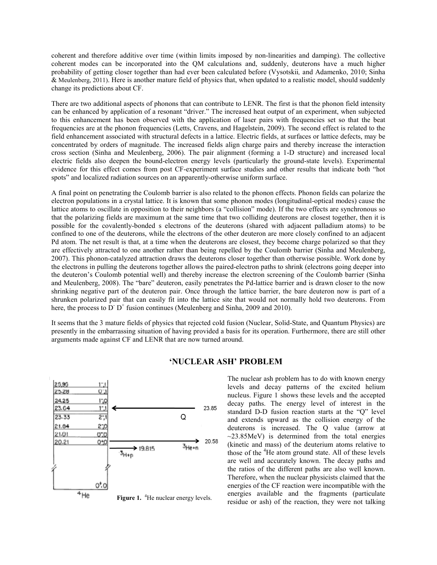coherent and therefore additive over time (within limits imposed by non-linearities and damping). The collective coherent modes can be incorporated into the QM calculations and, suddenly, deuterons have a much higher probability of getting closer together than had ever been calculated before (Vysotskii*,* and Adamenko, 2010; Sinha & Meulenberg, 2011). Here is another mature field of physics that, when updated to a realistic model, should suddenly change its predictions about CF.

There are two additional aspects of phonons that can contribute to LENR. The first is that the phonon field intensity can be enhanced by application of a resonant "driver." The increased heat output of an experiment, when subjected to this enhancement has been observed with the application of laser pairs with frequencies set so that the beat frequencies are at the phonon frequencies (Letts, Cravens, and Hagelstein, 2009). The second effect is related to the field enhancement associated with structural defects in a lattice. Electric fields, at surfaces or lattice defects, may be concentrated by orders of magnitude. The increased fields align charge pairs and thereby increase the interaction cross section (Sinha and Meulenberg, 2006). The pair alignment (forming a 1-D structure) and increased local electric fields also deepen the bound-electron energy levels (particularly the ground-state levels). Experimental evidence for this effect comes from post CF-experiment surface studies and other results that indicate both "hot spots" and localized radiation sources on an apparently-otherwise uniform surface.

A final point on penetrating the Coulomb barrier is also related to the phonon effects. Phonon fields can polarize the electron populations in a crystal lattice. It is known that some phonon modes (longitudinal-optical modes) cause the lattice atoms to oscillate in opposition to their neighbors (a "collision" mode). If the two effects are synchronous so that the polarizing fields are maximum at the same time that two colliding deuterons are closest together, then it is possible for the covalently-bonded s electrons of the deuterons (shared with adjacent palladium atoms) to be confined to one of the deuterons, while the electrons of the other deuteron are more closely confined to an adjacent Pd atom. The net result is that, at a time when the deuterons are closest, they become charge polarized so that they are effectively attracted to one another rather than being repelled by the Coulomb barrier (Sinha and Meulenberg, 2007). This phonon-catalyzed attraction draws the deuterons closer together than otherwise possible. Work done by the electrons in pulling the deuterons together allows the paired-electron paths to shrink (electrons going deeper into the deuteron's Coulomb potential well) and thereby increase the electron screening of the Coulomb barrier (Sinha and Meulenberg, 2008). The "bare" deuteron, easily penetrates the Pd-lattice barrier and is drawn closer to the now shrinking negative part of the deuteron pair. Once through the lattice barrier, the bare deuteron now is part of a shrunken polarized pair that can easily fit into the lattice site that would not normally hold two deuterons. From here, the process to  $D^+ D^+$  fusion continues (Meulenberg and Sinha, 2009 and 2010).

It seems that the 3 mature fields of physics that rejected cold fusion (Nuclear, Solid-State, and Quantum Physics) are presently in the embarrassing situation of having provided a basis for its operation. Furthermore, there are still other arguments made against CF and LENR that are now turned around.



#### **'NUCLEAR ASH' PROBLEM**

The nuclear ash problem has to do with known energy levels and decay patterns of the excited helium nucleus. Figure 1 shows these levels and the accepted decay paths. The energy level of interest in the standard D-D fusion reaction starts at the "Q" level and extends upward as the collision energy of the deuterons is increased. The Q value (arrow at  $\sim$ 23.85MeV) is determined from the total energies (kinetic and mass) of the deuterium atoms relative to those of the <sup>4</sup>He atom ground state. All of these levels are well and accurately known. The decay paths and the ratios of the different paths are also well known. Therefore, when the nuclear physicists claimed that the energies of the CF reaction were incompatible with the energies available and the fragments (particulate residue or ash) of the reaction, they were not talking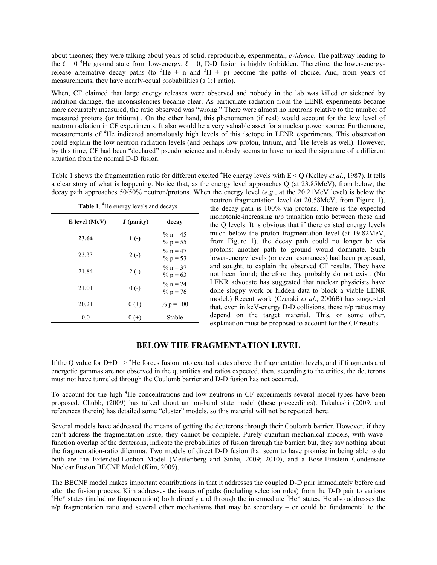about theories; they were talking about years of solid, reproducible, experimental, *evidence*. The pathway leading to the  $l = 0$  <sup>4</sup>He ground state from low-energy,  $l = 0$ , D-D fusion is highly forbidden. Therefore, the lower-energyrelease alternative decay paths (to  ${}^{3}$ He + n and  ${}^{3}$ H + p) become the paths of choice. And, from years of measurements, they have nearly-equal probabilities (a 1:1 ratio).

When, CF claimed that large energy releases were observed and nobody in the lab was killed or sickened by radiation damage, the inconsistencies became clear. As particulate radiation from the LENR experiments became more accurately measured, the ratio observed was "wrong." There were almost no neutrons relative to the number of measured protons (or tritium) . On the other hand, this phenomenon (if real) would account for the low level of neutron radiation in CF experiments. It also would be a very valuable asset for a nuclear power source. Furthermore, measurements of <sup>4</sup>He indicated anomalously high levels of this isotope in LENR experiments. This observation could explain the low neutron radiation levels (and perhaps low proton, tritium, and <sup>3</sup>He levels as well). However, by this time, CF had been "declared" pseudo science and nobody seems to have noticed the signature of a different situation from the normal D-D fusion.

Table 1 shows the fragmentation ratio for different excited <sup>4</sup>He energy levels with  $E < Q$  (Kelley *et al.*, 1987). It tells a clear story of what is happening. Notice that, as the energy level approaches Q (at 23.85MeV), from below, the decay path approaches 50/50% neutron/protons. When the energy level (*e.g*., at the 20.21MeV level) is below the

| Table 1. <sup>4</sup> He energy levels and decays |                           |  |  |  |
|---------------------------------------------------|---------------------------|--|--|--|
| J (parity)                                        | decay                     |  |  |  |
| $1( - )$                                          | % $n = 45$<br>% $p = 55$  |  |  |  |
| $2(-)$                                            | $\%$ n = 47<br>% $p = 53$ |  |  |  |
| $2(-)$                                            | % $n = 37$<br>% $p = 63$  |  |  |  |
| $0(-)$                                            | % $n = 24$<br>% $p = 76$  |  |  |  |
| $0 (+)$                                           | $\% p = 100$              |  |  |  |
| $0 (+)$                                           | Stable                    |  |  |  |
|                                                   |                           |  |  |  |

neutron fragmentation level (at 20.58MeV, from Figure 1), the decay path is 100% via protons. There is the expected monotonic-increasing n/p transition ratio between these and the Q levels. It is obvious that if there existed energy levels much below the proton fragmentation level (at 19.82MeV, from Figure 1), the decay path could no longer be via protons: another path to ground would dominate. Such lower-energy levels (or even resonances) had been proposed, and sought, to explain the observed CF results. They have not been found; therefore they probably do not exist. (No LENR advocate has suggested that nuclear physicists have done sloppy work or hidden data to block a viable LENR model.) Recent work (Czerski *et al*., 2006B) has suggested that, even in keV-energy D-D collisions, these n/p ratios may depend on the target material. This, or some other, explanation must be proposed to account for the CF results.

# **BELOW THE FRAGMENTATION LEVEL**

If the Q value for  $D+D \Rightarrow^4$ He forces fusion into excited states above the fragmentation levels, and if fragments and energetic gammas are not observed in the quantities and ratios expected, then, according to the critics, the deuterons must not have tunneled through the Coulomb barrier and D-D fusion has not occurred.

To account for the high <sup>4</sup>He concentrations and low neutrons in CF experiments several model types have been proposed. Chubb, (2009) has talked about an ion-band state model (these proceedings). Takahashi (2009, and references therein) has detailed some "cluster" models, so this material will not be repeated here.

Several models have addressed the means of getting the deuterons through their Coulomb barrier. However, if they can't address the fragmentation issue, they cannot be complete. Purely quantum-mechanical models, with wavefunction overlap of the deuterons, indicate the probabilities of fusion through the barrier; but, they say nothing about the fragmentation-ratio dilemma. Two models of direct D-D fusion that seem to have promise in being able to do both are the Extended-Lochon Model (Meulenberg and Sinha, 2009; 2010), and a Bose-Einstein Condensate Nuclear Fusion BECNF Model (Kim, 2009).

The BECNF model makes important contributions in that it addresses the coupled D-D pair immediately before and after the fusion process. Kim addresses the issues of paths (including selection rules) from the D-D pair to various 4 He\* states (including fragmentation) both directly and through the intermediate <sup>4</sup>He\* states. He also addresses the  $n/p$  fragmentation ratio and several other mechanisms that may be secondary – or could be fundamental to the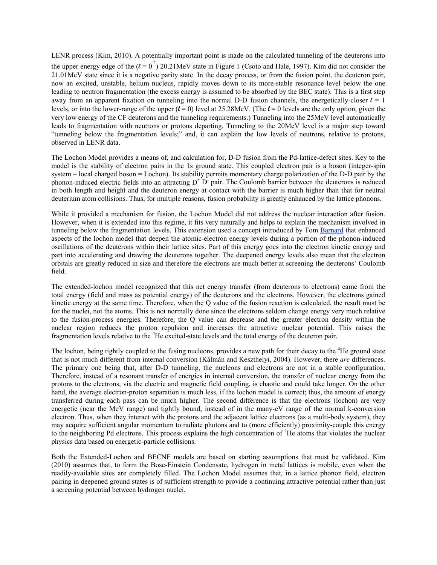LENR process (Kim, 2010). A potentially important point is made on the calculated tunneling of the deuterons into the upper energy edge of the  $(l = 0^+)$  20.21MeV state in Figure 1 (Csoto and Hale, 1997). Kim did not consider the 21.01MeV state since it is a negative parity state. In the decay process, or from the fusion point, the deuteron pair, now an excited, unstable, helium nucleus, rapidly moves down to its more-stable resonance level below the one leading to neutron fragmentation (the excess energy is assumed to be absorbed by the BEC state). This is a first step away from an apparent fixation on tunneling into the normal D-D fusion channels, the energetically-closer  $\ell = 1$ levels, or into the lower-range of the upper  $(l = 0)$  level at 25.28MeV. (The  $l = 0$  levels are the only option, given the very low energy of the CF deuterons and the tunneling requirements.) Tunneling into the 25MeV level automatically leads to fragmentation with neutrons or protons departing. Tunneling to the 20MeV level is a major step toward "tunneling below the fragmentation levels;" and, it can explain the low levels of neutrons, relative to protons, observed in LENR data.

The Lochon Model provides a means of, and calculation for, D-D fusion from the Pd-lattice-defect sites. Key to the model is the stability of electron pairs in the 1s ground state. This coupled electron pair is a boson (integer-spin system – local charged boson = Lochon). Its stability permits momentary charge polarization of the D-D pair by the phonon-induced electric fields into an attracting  $D^+ D^-$  pair. The Coulomb barrier between the deuterons is reduced in both length and height and the deuteron energy at contact with the barrier is much higher than that for neutral deuterium atom collisions. Thus, for multiple reasons, fusion probability is greatly enhanced by the lattice phonons.

While it provided a mechanism for fusion, the Lochon Model did not address the nuclear interaction after fusion. However, when it is extended into this regime, it fits very naturally and helps to explain the mechanism involved in tunneling below the fragmentation levels. This extension used a concept introduced by Tom [Barnard](http://www.ichaphysics.com/the-science-of-cold-fusion/) that enhanced aspects of the lochon model that deepen the atomic-electron energy levels during a portion of the phonon-induced oscillations of the deuterons within their lattice sites. Part of this energy goes into the electron kinetic energy and part into accelerating and drawing the deuterons together. The deepened energy levels also mean that the electron orbitals are greatly reduced in size and therefore the electrons are much better at screening the deuterons' Coulomb field.

The extended-lochon model recognized that this net energy transfer (from deuterons to electrons) came from the total energy (field and mass as potential energy) of the deuterons and the electrons. However, the electrons gained kinetic energy at the same time. Therefore, when the Q value of the fusion reaction is calculated, the result must be for the nuclei, not the atoms. This is not normally done since the electrons seldom change energy very much relative to the fusion-process energies. Therefore, the Q value can decrease and the greater electron density within the nuclear region reduces the proton repulsion and increases the attractive nuclear potential. This raises the fragmentation levels relative to the <sup>4</sup>He excited-state levels and the total energy of the deuteron pair.

The lochon, being tightly coupled to the fusing nucleons, provides a new path for their decay to the <sup>4</sup>He ground state that is not much different from internal conversion (Kálmán and Keszthelyi, 2004). However, there *are* differences. The primary one being that, after D-D tunneling, the nucleons and electrons are not in a stable configuration. Therefore, instead of a resonant transfer of energies in internal conversion, the transfer of nuclear energy from the protons to the electrons, via the electric and magnetic field coupling, is chaotic and could take longer. On the other hand, the average electron-proton separation is much less, if the lochon model is correct; thus, the amount of energy transferred during each pass can be much higher. The second difference is that the electrons (lochon) are very energetic (near the MeV range) and tightly bound, instead of in the many-eV range of the normal k-conversion electron. Thus, when they interact with the protons and the adjacent lattice electrons (as a multi-body system), they may acquire sufficient angular momentum to radiate photons and to (more efficiently) proximity-couple this energy to the neighboring Pd electrons. This process explains the high concentration of <sup>4</sup>He atoms that violates the nuclear physics data based on energetic-particle collisions.

Both the Extended-Lochon and BECNF models are based on starting assumptions that must be validated. Kim (2010) assumes that, to form the Bose-Einstein Condensate, hydrogen in metal lattices is mobile, even when the readily-available sites are completely filled. The Lochon Model assumes that, in a lattice phonon field, electron pairing in deepened ground states is of sufficient strength to provide a continuing attractive potential rather than just a screening potential between hydrogen nuclei.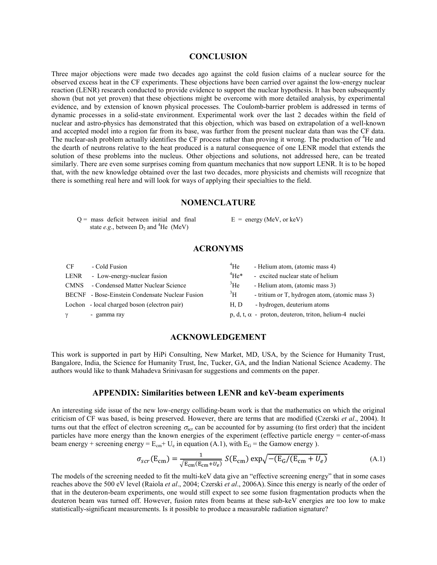#### **CONCLUSION**

Three major objections were made two decades ago against the cold fusion claims of a nuclear source for the observed excess heat in the CF experiments. These objections have been carried over against the low-energy nuclear reaction (LENR) research conducted to provide evidence to support the nuclear hypothesis. It has been subsequently shown (but not yet proven) that these objections might be overcome with more detailed analysis, by experimental evidence, and by extension of known physical processes. The Coulomb-barrier problem is addressed in terms of dynamic processes in a solid-state environment. Experimental work over the last 2 decades within the field of nuclear and astro-physics has demonstrated that this objection, which was based on extrapolation of a well-known and accepted model into a region far from its base, was further from the present nuclear data than was the CF data. The nuclear-ash problem actually identifies the CF process rather than proving it wrong. The production of <sup>4</sup>He and the dearth of neutrons relative to the heat produced is a natural consequence of one LENR model that extends the solution of these problems into the nucleus. Other objections and solutions, not addressed here, can be treated similarly. There are even some surprises coming from quantum mechanics that now support LENR. It is to be hoped that, with the new knowledge obtained over the last two decades, more physicists and chemists will recognize that there is something real here and will look for ways of applying their specialties to the field.

#### **NOMENCLATURE**

 $Q =$  mass deficit between initial and final state  $e.g.,$  between  $D_2$  and <sup>4</sup>He (MeV)

 $E =$  energy (MeV, or keV)

# **ACRONYMS**

| <b>CF</b> | - Cold Fusion                                   | $^{4}$ He       | - Helium atom, (atomic mass 4)                                |
|-----------|-------------------------------------------------|-----------------|---------------------------------------------------------------|
| LENR      | - Low-energy-nuclear fusion                     | $\rm{^4He^{*}}$ | - excited nuclear state of helium                             |
| CMNS      | - Condensed Matter Nuclear Science              | $\rm{^3He}$     | - Helium atom, (atomic mass 3)                                |
|           | BECNF - Bose-Einstein Condensate Nuclear Fusion | $\rm{^3H}$      | - tritium or T, hydrogen atom, (atomic mass 3)                |
|           | Lochon - local charged boson (electron pair)    | H, D            | - hydrogen, deuterium atoms                                   |
|           | - gamma ray                                     |                 | $p, d, t, \alpha$ - proton, deuteron, triton, helium-4 nuclei |

## **ACKNOWLEDGEMENT**

This work is supported in part by HiPi Consulting, New Market, MD, USA, by the Science for Humanity Trust, Bangalore, India, the Science for Humanity Trust, Inc, Tucker, GA, and the Indian National Science Academy. The authors would like to thank Mahadeva Srinivasan for suggestions and comments on the paper.

## **APPENDIX: Similarities between LENR and keV-beam experiments**

An interesting side issue of the new low-energy colliding-beam work is that the mathematics on which the original criticism of CF was based, is being preserved. However, there are terms that are modified (Czerski *et al*., 2004). It turns out that the effect of electron screening  $\sigma_{\rm scr}$  can be accounted for by assuming (to first order) that the incident particles have more energy than the known energies of the experiment (effective particle energy = center-of-mass beam energy + screening energy =  $E_{cm}$  +  $U_e$  in equation (A.1), with  $E_G$  = the Gamow energy ).

$$
\sigma_{scr}(\mathbf{E}_{\rm cm}) = \frac{1}{\sqrt{\mathbf{E}_{\rm cm}(\mathbf{E}_{\rm cm} + U_e)}} S(\mathbf{E}_{\rm cm}) \exp\sqrt{-(\mathbf{E}_{\rm G}/(\mathbf{E}_{\rm cm} + U_e))}
$$
(A.1)

The models of the screening needed to fit the multi-keV data give an "effective screening energy" that in some cases reaches above the 500 eV level (Raiola *et al*., 2004; Czerski *et al*., 2006A). Since this energy is nearly of the order of that in the deuteron-beam experiments, one would still expect to see some fusion fragmentation products when the deuteron beam was turned off. However, fusion rates from beams at these sub-keV energies are too low to make statistically-significant measurements. Is it possible to produce a measurable radiation signature?